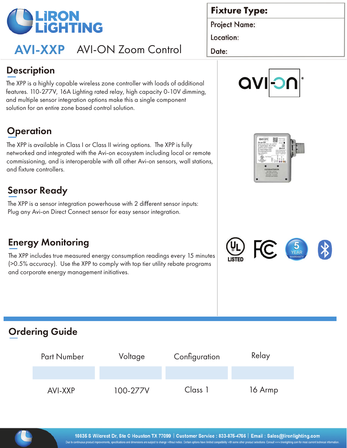

# AVI-XXP AVI-ON Zoom Control

#### **Fixture Type:**

**Project Name:** 

Location:

Date:

### **Description**

The XPP is a highly capable wireless zone controller with loads of additional features. 110-277V, 16A Lighting rated relay, high capacity 0-10V dimming, and multiple sensor integration options make this a single component solution for an entire zone based control solution.

## **Operation**

The XPP is available in Class I or Class II wiring options. The XPP is fully networked and integrated with the Avi-on ecosystem including local or remote commissioning, and is interoperable with all other Avi-on sensors, wall stations, and fixture controllers.  $\overline{\phantom{a}}$ 

### Sensor Ready

The XPP is a sensor integration powerhouse with 2 different sensor inputs: Plug any Avi-on Direct Connect sensor for easy sensor integration.

### **Energy Monitoring**

The XPP includes true measured energy consumption readings every 15 minutes (>0.5% accuracy). Use the XPP to comply with top tier utility rebate programs and corporate energy management initiatives.







### Ordering Guide

| <b>Part Number</b> | Voltage  | Configuration | Relay   |
|--------------------|----------|---------------|---------|
|                    |          |               |         |
| AVI-XXP            | 100-277V | Class 1       | 16 Armp |